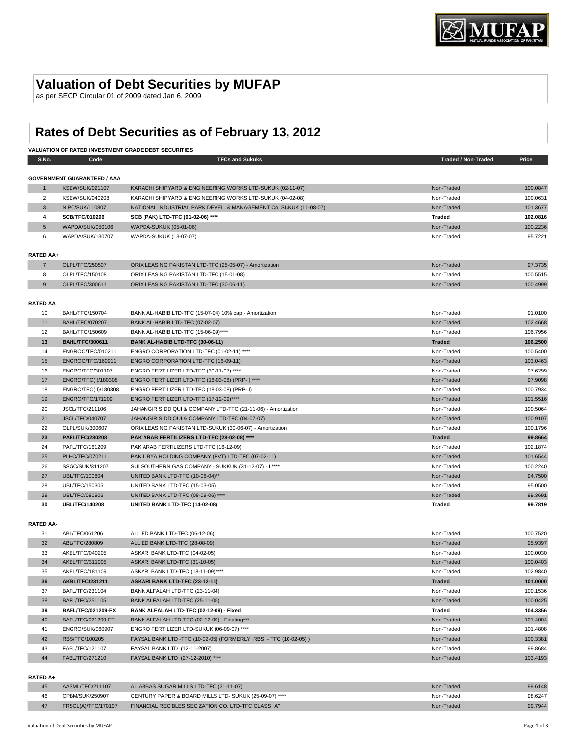## **Valuation of Debt Securities by MUFAP**

as per SECP Circular 01 of 2009 dated Jan 6, 2009

# **Rates of Debt Securities as of February 13, 2012**

| <b>VALUATION OF RATED INVESTMENT GRADE DEBT SECURITIES</b> |                                    |                                                                   |                            |          |
|------------------------------------------------------------|------------------------------------|-------------------------------------------------------------------|----------------------------|----------|
| S.No.                                                      | Code                               | <b>TFCs and Sukuks</b>                                            | <b>Traded / Non-Traded</b> | Price    |
|                                                            |                                    |                                                                   |                            |          |
|                                                            | <b>GOVERNMENT GUARANTEED / AAA</b> |                                                                   |                            |          |
| $\mathbf{1}$                                               | <b>KSEW/SUK/021107</b>             | KARACHI SHIPYARD & ENGINEERING WORKS LTD-SUKUK (02-11-07)         | Non-Traded                 | 100.0847 |
| $\overline{2}$                                             | <b>KSEW/SUK/040208</b>             | KARACHI SHIPYARD & ENGINEERING WORKS LTD-SUKUK (04-02-08)         | Non-Traded                 | 100.0631 |
| $\mathbf{3}$                                               | NIPC/SUK/110807                    | NATIONAL INDUSTRIAL PARK DEVEL. & MANAGEMENT Co. SUKUK (11-08-07) | Non-Traded                 | 101.3677 |
| 4                                                          | SCB/TFC/010206                     | SCB (PAK) LTD-TFC (01-02-06) ****                                 | <b>Traded</b>              | 102.0816 |
| 5                                                          | WAPDA/SUK/050106                   | WAPDA-SUKUK (05-01-06)                                            | Non-Traded                 | 100.2236 |
| 6                                                          | WAPDA/SUK/130707                   | WAPDA-SUKUK (13-07-07)                                            | Non-Traded                 | 95.7221  |
|                                                            |                                    |                                                                   |                            |          |
| <b>RATED AA+</b>                                           |                                    |                                                                   |                            |          |
| $\overline{7}$                                             | OLPL/TFC/250507                    | ORIX LEASING PAKISTAN LTD-TFC (25-05-07) - Amortization           | Non-Traded                 | 97.3735  |
| 8                                                          | OLPL/TFC/150108                    | ORIX LEASING PAKISTAN LTD-TFC (15-01-08)                          | Non-Traded                 | 100.5515 |
| 9                                                          | OLPL/TFC/300611                    | ORIX LEASING PAKISTAN LTD-TFC (30-06-11)                          | Non-Traded                 | 100.4999 |
|                                                            |                                    |                                                                   |                            |          |
| <b>RATED AA</b>                                            |                                    |                                                                   |                            |          |
| 10                                                         | <b>BAHL/TFC/150704</b>             | BANK AL-HABIB LTD-TFC (15-07-04) 10% cap - Amortization           | Non-Traded                 | 91.0100  |
| 11                                                         | <b>BAHL/TFC/070207</b>             | BANK AL-HABIB LTD-TFC (07-02-07)                                  | Non-Traded                 | 102.4668 |
| 12                                                         | BAHL/TFC/150609                    | BANK AL-HABIB LTD-TFC (15-06-09)****                              | Non-Traded                 | 106.7956 |
| 13                                                         | <b>BAHL/TFC/300611</b>             | BANK AL-HABIB LTD-TFC (30-06-11)                                  | <b>Traded</b>              | 106.2500 |
| 14                                                         | ENGROC/TFC/010211                  | ENGRO CORPORATION LTD-TFC (01-02-11) ****                         | Non-Traded                 | 100.5400 |
| 15                                                         | ENGROC/TFC/160911                  | ENGRO CORPORATION LTD-TFC (16-09-11)                              | Non-Traded                 | 103.0463 |
| 16                                                         | ENGRO/TFC/301107                   | ENGRO FERTILIZER LTD-TFC (30-11-07) ****                          | Non-Traded                 | 97.6299  |
| 17                                                         | ENGRO/TFC(I)/180308                | ENGRO FERTILIZER LTD-TFC (18-03-08) (PRP-I) ****                  | Non-Traded                 | 97.9098  |
| 18                                                         | ENGRO/TFC(II)/180308               | ENGRO FERTILIZER LTD-TFC (18-03-08) (PRP-II)                      | Non-Traded                 | 100.7934 |
| 19                                                         | ENGRO/TFC/171209                   | ENGRO FERTILIZER LTD-TFC (17-12-09)****                           | Non-Traded                 | 101.5516 |
| 20                                                         | JSCL/TFC/211106                    | JAHANGIR SIDDIQUI & COMPANY LTD-TFC (21-11-06) - Amortization     | Non-Traded                 | 100.5064 |
| 21                                                         | <b>JSCL/TFC/040707</b>             | JAHANGIR SIDDIQUI & COMPANY LTD-TFC (04-07-07)                    | Non-Traded                 | 100.9107 |
| 22                                                         | OLPL/SUK/300607                    | ORIX LEASING PAKISTAN LTD-SUKUK (30-06-07) - Amortization         | Non-Traded                 | 100.1796 |
| 23                                                         | <b>PAFL/TFC/280208</b>             | PAK ARAB FERTILIZERS LTD-TFC (28-02-08) ****                      | <b>Traded</b>              | 99.8664  |
| 24                                                         | PAFL/TFC/161209                    | PAK ARAB FERTILIZERS LTD-TFC (16-12-09)                           | Non-Traded                 | 102.1874 |
| 25                                                         | PLHC/TFC/070211                    | PAK LIBYA HOLDING COMPANY (PVT) LTD-TFC (07-02-11)                | Non-Traded                 | 101.6544 |
| 26                                                         | SSGC/SUK/311207                    | SUI SOUTHERN GAS COMPANY - SUKKUK (31-12-07) - I ****             | Non-Traded                 | 100.2240 |
| 27                                                         | <b>UBL/TFC/100804</b>              | UNITED BANK LTD-TFC (10-08-04)**                                  | Non-Traded                 | 94.7500  |
| 28                                                         | UBL/TFC/150305                     | UNITED BANK LTD-TFC (15-03-05)                                    | Non-Traded                 | 95.0500  |
| 29                                                         | <b>UBL/TFC/080906</b>              | UNITED BANK LTD-TFC (08-09-06) ****                               | Non-Traded                 | 99.3691  |
| 30                                                         | <b>UBL/TFC/140208</b>              | UNITED BANK LTD-TFC (14-02-08)                                    | <b>Traded</b>              | 99.7819  |
|                                                            |                                    |                                                                   |                            |          |
| <b>RATED AA-</b>                                           |                                    |                                                                   |                            |          |
| 31                                                         | ABL/TFC/061206                     | ALLIED BANK LTD-TFC (06-12-06)                                    | Non-Traded                 | 100.7520 |
| 32                                                         | ABL/TFC/280809                     | ALLIED BANK LTD-TFC (28-08-09)                                    | Non-Traded                 | 95.9397  |
| 33                                                         | AKBL/TFC/040205                    | ASKARI BANK LTD-TFC (04-02-05)                                    | Non-Traded                 | 100.0030 |
| 34                                                         | AKBL/TFC/311005                    | ASKARI BANK LTD-TFC (31-10-05)                                    | Non-Traded                 | 100.0403 |
| 35                                                         | AKBL/TFC/181109                    | ASKARI BANK LTD-TFC (18-11-09)****                                | Non-Traded                 | 102.9840 |
| 36                                                         | <b>AKBL/TFC/231211</b>             | ASKARI BANK LTD-TFC (23-12-11)                                    | <b>Traded</b>              | 101.0000 |
| 37                                                         | BAFL/TFC/231104                    | BANK ALFALAH LTD-TFC (23-11-04)                                   | Non-Traded                 | 100.1536 |
| 38                                                         | BAFL/TFC/251105                    | BANK ALFALAH LTD-TFC (25-11-05)                                   | Non-Traded                 | 100.0425 |
| 39                                                         | <b>BAFL/TFC/021209-FX</b>          | BANK ALFALAH LTD-TFC (02-12-09) - Fixed                           | Traded                     | 104.3356 |
| 40                                                         | BAFL/TFC/021209-FT                 | BANK ALFALAH LTD-TFC (02-12-09) - Floating***                     | Non-Traded                 | 101.4004 |
| 41                                                         | ENGRO/SUK/060907                   | ENGRO FERTILIZER LTD-SUKUK (06-09-07) ****                        | Non-Traded                 | 101.4808 |
| 42                                                         | RBS/TFC/100205                     | FAYSAL BANK LTD -TFC (10-02-05) (FORMERLY: RBS - TFC (10-02-05))  | Non-Traded                 | 100.3381 |
| 43                                                         | FABL/TFC/121107                    | FAYSAL BANK LTD (12-11-2007)                                      | Non-Traded                 | 99.8684  |
| 44                                                         | FABL/TFC/271210                    | FAYSAL BANK LTD (27-12-2010) ****                                 | Non-Traded                 | 103.4193 |
|                                                            |                                    |                                                                   |                            |          |
| RATED A+                                                   |                                    |                                                                   |                            |          |
|                                                            |                                    |                                                                   |                            |          |

| 45 | AASML/TFC/211107    | AL ABBAS SUGAR MILLS LTD-TFC (21-11-07)                | Non-Traded | 99.6148 |
|----|---------------------|--------------------------------------------------------|------------|---------|
| 46 | CPBM/SUK/250907     | CENTURY PAPER & BOARD MILLS LTD- SUKUK (25-09-07) **** | Non-Traded | 98.6247 |
|    | FRSCL(A)/TFC/170107 | FINANCIAL REC'BLES SEC'ZATION CO. LTD-TFC CLASS "A"    | Non-Traded | 99.7944 |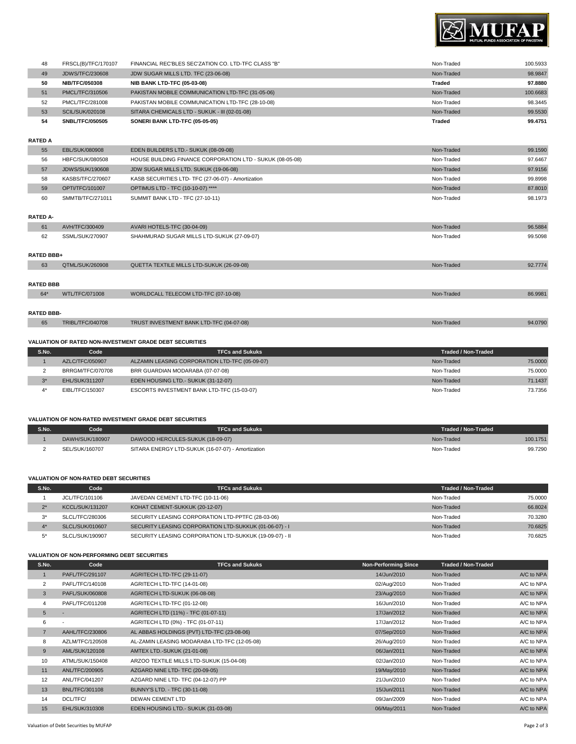

| 48 | FRSCL(B)/TFC/170107    | FINANCIAL REC'BLES SEC'ZATION CO. LTD-TFC CLASS "B" | Non-Traded | 100.5933 |
|----|------------------------|-----------------------------------------------------|------------|----------|
| 49 | <b>JDWS/TFC/230608</b> | JDW SUGAR MILLS LTD. TFC (23-06-08)                 | Non-Traded | 98.9847  |
| 50 | <b>NIB/TFC/050308</b>  | <b>NIB BANK LTD-TFC (05-03-08)</b>                  | Traded     | 97.8880  |
| 51 | PMCL/TFC/310506        | PAKISTAN MOBILE COMMUNICATION LTD-TFC (31-05-06)    | Non-Traded | 100.6683 |
| 52 | PMCL/TFC/281008        | PAKISTAN MOBILE COMMUNICATION LTD-TFC (28-10-08)    | Non-Traded | 98.3445  |
| 53 | <b>SCIL/SUK/020108</b> | SITARA CHEMICALS LTD - SUKUK - III (02-01-08)       | Non-Traded | 99.5530  |
| 54 | <b>SNBL/TFC/050505</b> | SONERI BANK LTD-TFC (05-05-05)                      | Traded     | 99.4751  |
|    |                        |                                                     |            |          |

### **RATED A**

| 55 | EBL/SUK/080908         | EDEN BUILDERS LTD.- SUKUK (08-09-08)                      | Non-Traded | 99.1590 |
|----|------------------------|-----------------------------------------------------------|------------|---------|
| 56 | HBFC/SUK/080508        | HOUSE BUILDING FINANCE CORPORATION LTD - SUKUK (08-05-08) | Non-Traded | 97.6467 |
| 57 | <b>JDWS/SUK/190608</b> | JDW SUGAR MILLS LTD. SUKUK (19-06-08)                     | Non-Traded | 97.9156 |
| 58 | KASBS/TFC/270607       | KASB SECURITIES LTD- TFC (27-06-07) - Amortization        | Non-Traded | 99.8998 |
| 59 | OPTI/TFC/101007        | OPTIMUS LTD - TFC (10-10-07) ****                         | Non-Traded | 87,8010 |
| 60 | SMMTB/TFC/271011       | SUMMIT BANK LTD - TFC (27-10-11)                          | Non-Traded | 98.1973 |
|    |                        |                                                           |            |         |

#### **RATED A-**

| 61                | AVH/TFC/300409          | AVARI HOTELS-TFC (30-04-09)                | Non-Traded | 96.5884 |
|-------------------|-------------------------|--------------------------------------------|------------|---------|
| 62                | SSML/SUK/270907         | SHAHMURAD SUGAR MILLS LTD-SUKUK (27-09-07) | Non-Traded | 99.5098 |
|                   |                         |                                            |            |         |
| <b>RATED BBB+</b> |                         |                                            |            |         |
| 63                | QTML/SUK/260908         | QUETTA TEXTILE MILLS LTD-SUKUK (26-09-08)  | Non-Traded | 92,7774 |
|                   |                         |                                            |            |         |
| <b>RATED BBB</b>  |                         |                                            |            |         |
| 64*               | WTL/TFC/071008          | WORLDCALL TELECOM LTD-TFC (07-10-08)       | Non-Traded | 86,9981 |
|                   |                         |                                            |            |         |
| <b>RATED BBB-</b> |                         |                                            |            |         |
| 65                | <b>TRIBL/TFC/040708</b> | TRUST INVESTMENT BANK LTD-TFC (04-07-08)   | Non-Traded | 94.0790 |

#### **VALUATION OF RATED NON-INVESTMENT GRADE DEBT SECURITIES**

| S.No. | Code                  | <b>TFCs and Sukuks</b>                         | Traded / Non-Traded |         |
|-------|-----------------------|------------------------------------------------|---------------------|---------|
|       | AZLC/TFC/050907       | ALZAMIN LEASING CORPORATION LTD-TFC (05-09-07) | Non-Traded          | 75,0000 |
|       | BRRGM/TFC/070708      | BRR GUARDIAN MODARABA (07-07-08)               | Non-Traded          | 75,0000 |
| $2*$  | <b>EHL/SUK/311207</b> | EDEN HOUSING LTD.- SUKUK (31-12-07)            | Non-Traded          | 71.1437 |
|       | EIBL/TFC/150307       | ESCORTS INVESTMENT BANK LTD-TFC (15-03-07)     | Non-Traded          | 73.7356 |

#### **VALUATION OF NON-RATED INVESTMENT GRADE DEBT SECURITIES**

| S.No. | code            | TFCs and Sukuks                                   | Traded / Non-Traded |          |
|-------|-----------------|---------------------------------------------------|---------------------|----------|
|       | DAWH/SUK/180907 | DAWOOD HERCULES-SUKUK (18-09-07)                  | Non-Traded          | 100.1751 |
|       | SEL/SUK/160707  | SITARA ENERGY LTD-SUKUK (16-07-07) - Amortization | Non-Traded          | 99.7290  |

#### **VALUATION OF NON-RATED DEBT SECURITIES**

| S.No. | Code                   | <b>TFCs and Sukuks</b>                                  | Traded / Non-Traded |         |
|-------|------------------------|---------------------------------------------------------|---------------------|---------|
|       | JCL/TFC/101106         | JAVEDAN CEMENT LTD-TFC (10-11-06)                       | Non-Traded          | 75,0000 |
| $2*$  | <b>KCCL/SUK/131207</b> | KOHAT CEMENT-SUKKUK (20-12-07)                          | Non-Traded          | 66.8024 |
| $3^*$ | SLCL/TFC/280306        | SECURITY LEASING CORPORATION LTD-PPTFC (28-03-06)       | Non-Traded          | 70.3280 |
|       | SLCL/SUK/010607        | SECURITY LEASING CORPORATION LTD-SUKKUK (01-06-07) - I  | Non-Traded          | 70.6825 |
| $5^*$ | SLCL/SUK/190907        | SECURITY LEASING CORPORATION LTD-SUKKUK (19-09-07) - II | Non-Traded          | 70.6825 |

#### **VALUATION OF NON-PERFORMING DEBT SECURITIES**

| S.No.          | Code                     | <b>TFCs and Sukuks</b>                       | <b>Non-Performing Since</b> | <b>Traded / Non-Traded</b> |            |
|----------------|--------------------------|----------------------------------------------|-----------------------------|----------------------------|------------|
|                | PAFL/TFC/291107          | AGRITECH LTD-TFC (29-11-07)                  | 14/Jun/2010                 | Non-Traded                 | A/C to NPA |
| 2              | PAFL/TFC/140108          | AGRITECH LTD-TFC (14-01-08)                  | 02/Aug/2010                 | Non-Traded                 | A/C to NPA |
| 3              | PAFL/SUK/060808          | AGRITECH LTD-SUKUK (06-08-08)                | 23/Aug/2010                 | Non-Traded                 | A/C to NPA |
| 4              | PAFL/TFC/011208          | AGRITECH LTD-TFC (01-12-08)                  | 16/Jun/2010                 | Non-Traded                 | A/C to NPA |
| 5              | ٠                        | AGRITECH LTD (11%) - TFC (01-07-11)          | 17/Jan/2012                 | Non-Traded                 | A/C to NPA |
| 6              | $\overline{\phantom{a}}$ | AGRITECH LTD (0%) - TFC (01-07-11)           | 17/Jan/2012                 | Non-Traded                 | A/C to NPA |
| $\overline{7}$ | AAHL/TFC/230806          | AL ABBAS HOLDINGS (PVT) LTD-TFC (23-08-06)   | 07/Sep/2010                 | Non-Traded                 | A/C to NPA |
| 8              | AZLM/TFC/120508          | AL-ZAMIN LEASING MODARABA LTD-TFC (12-05-08) | 26/Aug/2010                 | Non-Traded                 | A/C to NPA |
| 9              | AML/SUK/120108           | <b>AMTEX LTD.-SUKUK (21-01-08)</b>           | 06/Jan/2011                 | Non-Traded                 | A/C to NPA |
| 10             | ATML/SUK/150408          | ARZOO TEXTILE MILLS LTD-SUKUK (15-04-08)     | 02/Jan/2010                 | Non-Traded                 | A/C to NPA |
| 11             | ANL/TFC/200905           | AZGARD NINE LTD- TFC (20-09-05)              | 19/May/2010                 | Non-Traded                 | A/C to NPA |
| 12             | ANL/TFC/041207           | AZGARD NINE LTD- TFC (04-12-07) PP           | 21/Jun/2010                 | Non-Traded                 | A/C to NPA |
| 13             | <b>BNL/TFC/301108</b>    | BUNNY'S LTD. - TFC (30-11-08)                | 15/Jun/2011                 | Non-Traded                 | A/C to NPA |
| 14             | DCL/TFC/                 | <b>DEWAN CEMENT LTD</b>                      | 09/Jan/2009                 | Non-Traded                 | A/C to NPA |
| 15             | EHL/SUK/310308           | EDEN HOUSING LTD.- SUKUK (31-03-08)          | 06/May/2011                 | Non-Traded                 | A/C to NPA |